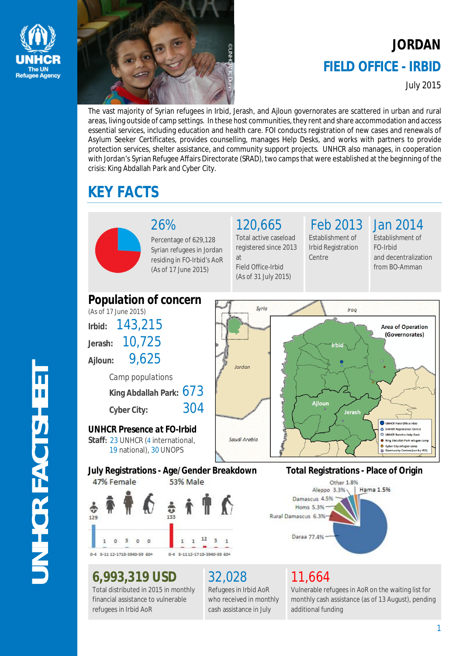



# **JORDAN FIELD OFFICE - IRBID**

July 2015

The vast majority of Syrian refugees in Irbid, Jerash, and Ajloun governorates are scattered in urban and rural areas, living outside of camp settings. In these host communities, they rent and share accommodation and access essential services, including education and health care. FOI conducts registration of new cases and renewals of Asylum Seeker Certificates, provides counselling, manages Help Desks, and works with partners to provide protection services, shelter assistance, and community support projects. UNHCR also manages, in cooperation with Jordan's Syrian Refugee Affairs Directorate (SRAD), two camps that were established at the beginning of the crisis: King Abdallah Park and Cyber City.

# **KEY FACTS**



### 26%

Percentage of 629,128 Syrian refugees in Jordan residing in FO-Irbid's AoR (As of 17 June 2015)

120,665 Total active caseload registered since 2013

at Field Office-Irbid (As of 31 July 2015)

### Feb 2013 Establishment of

Centre

Irbid Registration

Jan 2014 Establishment of FO-Irbid and decentralization from BO-Amman



### **6,993,319 USD**

Total distributed in 2015 in monthly financial assistance to vulnerable refugees in Irbid AoR

# 32,028

Refugees in Irbid AoR who received in monthly cash assistance in July

# 11,664

Vulnerable refugees in AoR on the waiting list for monthly cash assistance (as of 13 August), pending additional funding